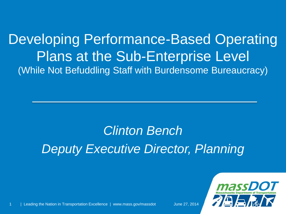Developing Performance-Based Operating Plans at the Sub-Enterprise Level (While Not Befuddling Staff with Burdensome Bureaucracy)

# *Clinton Bench Deputy Executive Director, Planning*

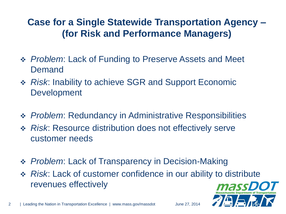#### **Case for a Single Statewide Transportation Agency – (for Risk and Performance Managers)**

- *Problem*: Lack of Funding to Preserve Assets and Meet Demand
- ◆ *Risk*: Inability to achieve SGR and Support Economic **Development**
- *Problem*: Redundancy in Administrative Responsibilities
- ◆ Risk: Resource distribution does not effectively serve customer needs
- *Problem*: Lack of Transparency in Decision-Making
- ◆ Risk: Lack of customer confidence in our ability to distribute revenues effectively

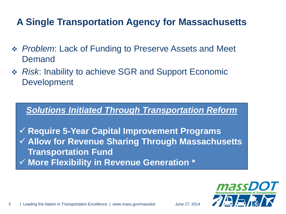#### **A Single Transportation Agency for Massachusetts**

- *Problem*: Lack of Funding to Preserve Assets and Meet Demand
- ◆ *Risk*: Inability to achieve SGR and Support Economic **Development**

#### *Solutions Initiated Through Transportation Reform*

 **Require 5-Year Capital Improvement Programs Allow for Revenue Sharing Through Massachusetts Transportation Fund More Flexibility in Revenue Generation \***

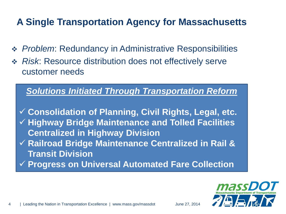#### **A Single Transportation Agency for Massachusetts**

- *Problem*: Redundancy in Administrative Responsibilities
- *Risk*: Resource distribution does not effectively serve customer needs

#### *Solutions Initiated Through Transportation Reform*

- **Consolidation of Planning, Civil Rights, Legal, etc. Highway Bridge Maintenance and Tolled Facilities Centralized in Highway Division**
- **Railroad Bridge Maintenance Centralized in Rail & Transit Division**
- **Progress on Universal Automated Fare Collection**

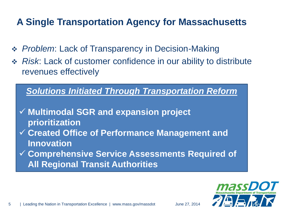#### **A Single Transportation Agency for Massachusetts**

- *Problem*: Lack of Transparency in Decision-Making
- *Risk*: Lack of customer confidence in our ability to distribute revenues effectively

*Solutions Initiated Through Transportation Reform*

- **Multimodal SGR and expansion project prioritization**
- **Created Office of Performance Management and Innovation**
- **Comprehensive Service Assessments Required of All Regional Transit Authorities**

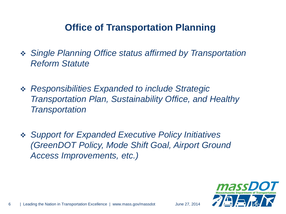#### **Office of Transportation Planning**

- *Single Planning Office status affirmed by Transportation Reform Statute*
- *Responsibilities Expanded to include Strategic Transportation Plan, Sustainability Office, and Healthy Transportation*
- *Support for Expanded Executive Policy Initiatives (GreenDOT Policy, Mode Shift Goal, Airport Ground Access Improvements, etc.)*

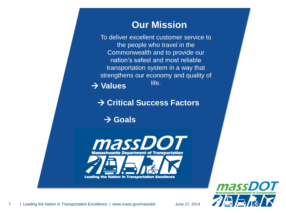#### **Our Mission**

To deliver excellent customer service to the people who travel in the Commonwealth and to provide our nation's safest and most reliable transportation system in a way that strengthens our economy and quality of → Values life.

 $→$  **Critical Success Factors** 

**→ Goals** 



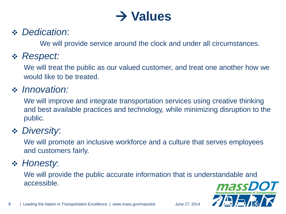## **Values**

## *Dedication*:

We will provide service around the clock and under all circumstances.

#### *Respect:*

We will treat the public as our valued customer, and treat one another how we would like to be treated.

#### *Innovation:*

We will improve and integrate transportation services using creative thinking and best available practices and technology, while minimizing disruption to the public.

## *Diversity*:

We will promote an inclusive workforce and a culture that serves employees and customers fairly.

#### *Honesty*:

We will provide the public accurate information that is understandable and accessible.

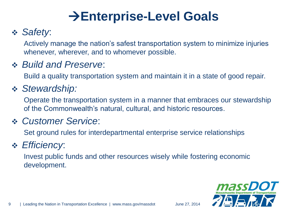# **Enterprise-Level Goals**

## *Safety*:

Actively manage the nation's safest transportation system to minimize injuries whenever, wherever, and to whomever possible.

## *Build and Preserve*:

Build a quality transportation system and maintain it in a state of good repair.

### *Stewardship:*

Operate the transportation system in a manner that embraces our stewardship of the Commonwealth's natural, cultural, and historic resources.

#### *Customer Service*:

Set ground rules for interdepartmental enterprise service relationships

## *Efficiency*:

Invest public funds and other resources wisely while fostering economic development.

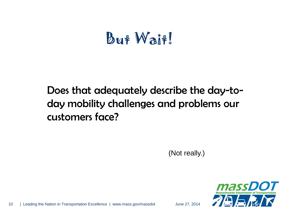# $B_{\mathbf{u}}$ # $\mathbf{W}_{\mathbf{a}}$ i# $\mathbf{I}_{\mathbf{a}}$

## Does that adequately describe the day-today mobility challenges and problems our customers face?

(Not really.)

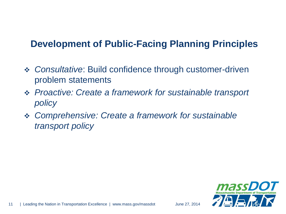#### **Development of Public-Facing Planning Principles**

- *Consultative*: Build confidence through customer-driven problem statements
- *Proactive: Create a framework for sustainable transport policy*
- *Comprehensive: Create a framework for sustainable transport policy*

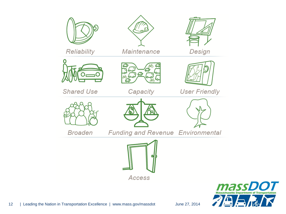

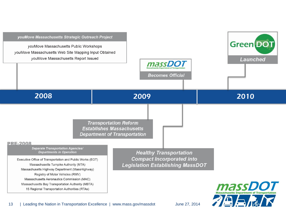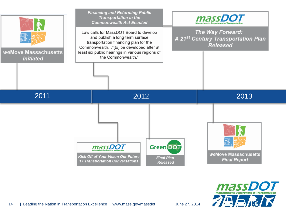

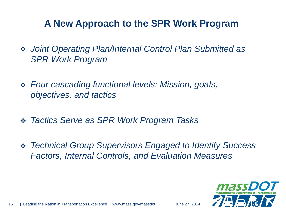## **A New Approach to the SPR Work Program**

- *Joint Operating Plan/Internal Control Plan Submitted as SPR Work Program*
- *Four cascading functional levels: Mission, goals, objectives, and tactics*
- *Tactics Serve as SPR Work Program Tasks*
- *Technical Group Supervisors Engaged to Identify Success Factors, Internal Controls, and Evaluation Measures*

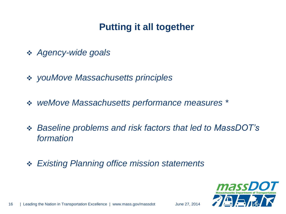#### **Putting it all together**

- *Agency-wide goals*
- *youMove Massachusetts principles*
- *weMove Massachusetts performance measures \**
- *Baseline problems and risk factors that led to MassDOT's formation*
- *Existing Planning office mission statements*

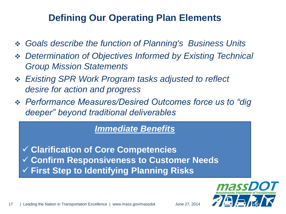#### **Defining Our Operating Plan Elements**

- *Goals describe the function of Planning's Business Units*
- *Determination of Objectives Informed by Existing Technical Group Mission Statements*
- *Existing SPR Work Program tasks adjusted to reflect desire for action and progress*
- *Performance Measures/Desired Outcomes force us to "dig deeper" beyond traditional deliverables*

#### *Immediate Benefits*

 **Clarification of Core Competencies Confirm Responsiveness to Customer Needs First Step to Identifying Planning Risks**

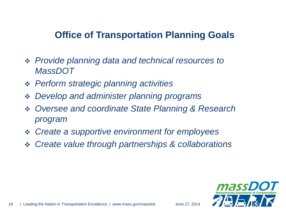#### **Office of Transportation Planning Goals**

- *Provide planning data and technical resources to MassDOT*
- *Perform strategic planning activities*
- *Develop and administer planning programs*
- *Oversee and coordinate State Planning & Research program*
- *Create a supportive environment for employees*
- *Create value through partnerships & collaborations*

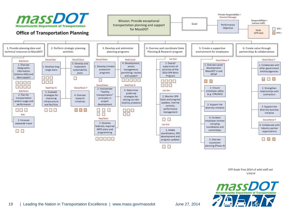

OTP Goals Tree 2014 v3 with staff.vsd  $1/24/14$ 

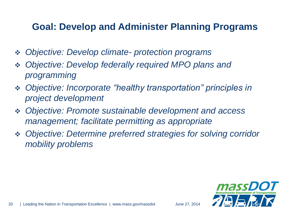#### **Goal: Develop and Administer Planning Programs**

- *Objective: Develop climate- protection programs*
- *Objective: Develop federally required MPO plans and programming*
- *Objective: Incorporate "healthy transportation" principles in project development*
- *Objective: Promote sustainable development and access management; facilitate permitting as appropriate*
- *Objective: Determine preferred strategies for solving corridor mobility problems*

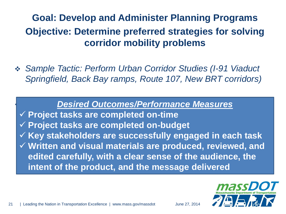## **Goal: Develop and Administer Planning Programs Objective: Determine preferred strategies for solving corridor mobility problems**

 *Sample Tactic: Perform Urban Corridor Studies (I-91 Viaduct Springfield, Back Bay ramps, Route 107, New BRT corridors)*



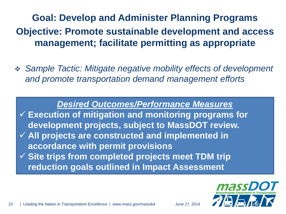## **Goal: Develop and Administer Planning Programs Objective: Promote sustainable development and access management; facilitate permitting as appropriate**

 *Sample Tactic: Mitigate negative mobility effects of development and promote transportation demand management efforts*



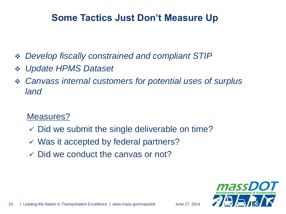#### **Some Tactics Just Don't Measure Up**

- *Develop fiscally constrained and compliant STIP*
- *Update HPMS Dataset*
- *Canvass internal customers for potential uses of surplus land*

#### Measures?

- $\checkmark$  Did we submit the single deliverable on time?
- $\checkmark$  Was it accepted by federal partners?
- $\checkmark$  Did we conduct the canvas or not?